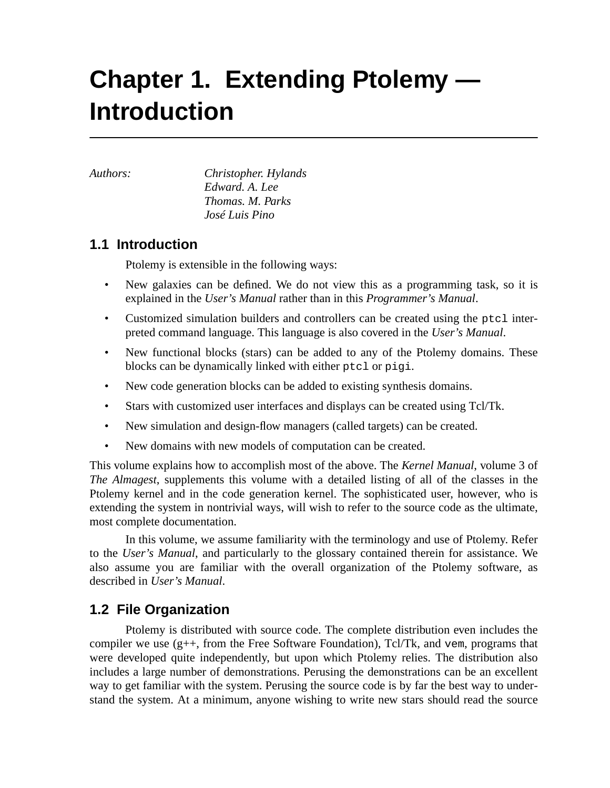# **Chapter 1. Extending Ptolemy — Introduction**

*Authors: Christopher. Hylands Edward. A. Lee Thomas. M. Parks José Luis Pino*

# **1.1 Introduction**

Ptolemy is extensible in the following ways:

- New galaxies can be defined. We do not view this as a programming task, so it is explained in the *User's Manual* rather than in this *Programmer's Manual*.
- Customized simulation builders and controllers can be created using the ptcl interpreted command language. This language is also covered in the *User's Manual*.
- New functional blocks (stars) can be added to any of the Ptolemy domains. These blocks can be dynamically linked with either ptcl or pigi.
- New code generation blocks can be added to existing synthesis domains.
- Stars with customized user interfaces and displays can be created using Tcl/Tk.
- New simulation and design-flow managers (called targets) can be created.
- New domains with new models of computation can be created.

This volume explains how to accomplish most of the above. The *Kernel Manual*, volume 3 of *The Almagest*, supplements this volume with a detailed listing of all of the classes in the Ptolemy kernel and in the code generation kernel. The sophisticated user, however, who is extending the system in nontrivial ways, will wish to refer to the source code as the ultimate, most complete documentation.

In this volume, we assume familiarity with the terminology and use of Ptolemy. Refer to the *User's Manual*, and particularly to the glossary contained therein for assistance. We also assume you are familiar with the overall organization of the Ptolemy software, as described in *User's Manual*.

# **1.2 File Organization**

Ptolemy is distributed with source code. The complete distribution even includes the compiler we use (g++, from the Free Software Foundation), Tcl/Tk, and vem, programs that were developed quite independently, but upon which Ptolemy relies. The distribution also includes a large number of demonstrations. Perusing the demonstrations can be an excellent way to get familiar with the system. Perusing the source code is by far the best way to understand the system. At a minimum, anyone wishing to write new stars should read the source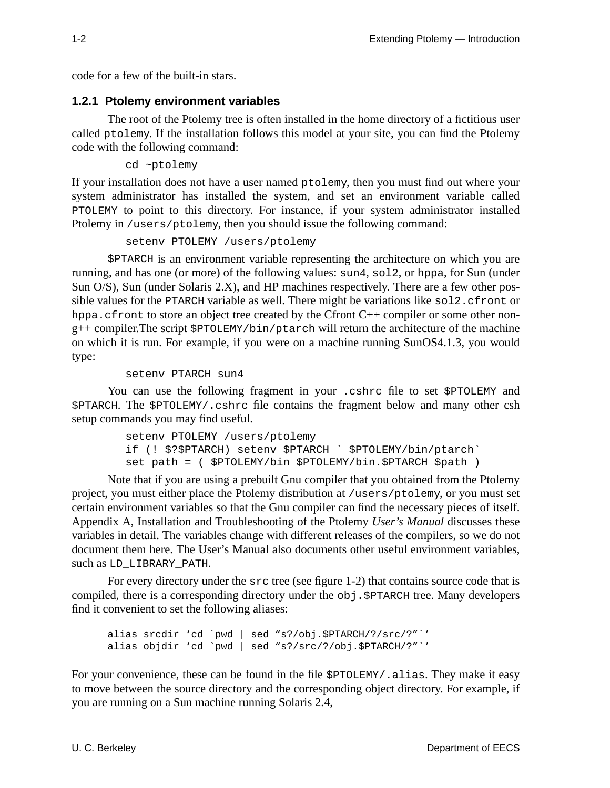code for a few of the built-in stars.

#### **1.2.1 Ptolemy environment variables**

The root of the Ptolemy tree is often installed in the home directory of a fictitious user called ptolemy. If the installation follows this model at your site, you can find the Ptolemy code with the following command:

cd ~ptolemy

If your installation does not have a user named ptolemy, then you must find out where your system administrator has installed the system, and set an environment variable called PTOLEMY to point to this directory. For instance, if your system administrator installed Ptolemy in /users/ptolemy, then you should issue the following command:

setenv PTOLEMY /users/ptolemy

\$PTARCH is an environment variable representing the architecture on which you are running, and has one (or more) of the following values: sun4, sol2, or hppa, for Sun (under Sun O/S), Sun (under Solaris 2.X), and HP machines respectively. There are a few other possible values for the PTARCH variable as well. There might be variations like sol2.cfront or hppa.cfront to store an object tree created by the Cfront C++ compiler or some other nong++ compiler.The script \$PTOLEMY/bin/ptarch will return the architecture of the machine on which it is run. For example, if you were on a machine running SunOS4.1.3, you would type:

setenv PTARCH sun4

You can use the following fragment in your .cshrc file to set \$PTOLEMY and \$PTARCH. The \$PTOLEMY/.cshrc file contains the fragment below and many other csh setup commands you may find useful.

```
setenv PTOLEMY /users/ptolemy
if (! $?$PTARCH) setenv $PTARCH ` $PTOLEMY/bin/ptarch`
set path = ( $PTOLEMY/bin $PTOLEMY/bin.$PTARCH $path )
```
Note that if you are using a prebuilt Gnu compiler that you obtained from the Ptolemy project, you must either place the Ptolemy distribution at /users/ptolemy, or you must set certain environment variables so that the Gnu compiler can find the necessary pieces of itself. Appendix A, Installation and Troubleshooting of the Ptolemy *User's Manual* discusses these variables in detail. The variables change with different releases of the compilers, so we do not document them here. The User's Manual also documents other useful environment variables, such as LD\_LIBRARY\_PATH.

For every directory under the src tree (see figure 1-2) that contains source code that is compiled, there is a corresponding directory under the obj.\$PTARCH tree. Many developers find it convenient to set the following aliases:

alias srcdir 'cd `pwd | sed "s?/obj.\$PTARCH/?/src/?"`' alias objdir 'cd `pwd | sed "s?/src/?/obj.\$PTARCH/?"`'

For your convenience, these can be found in the file  $\text{SPTOLEMY}/$ , alias. They make it easy to move between the source directory and the corresponding object directory. For example, if you are running on a Sun machine running Solaris 2.4,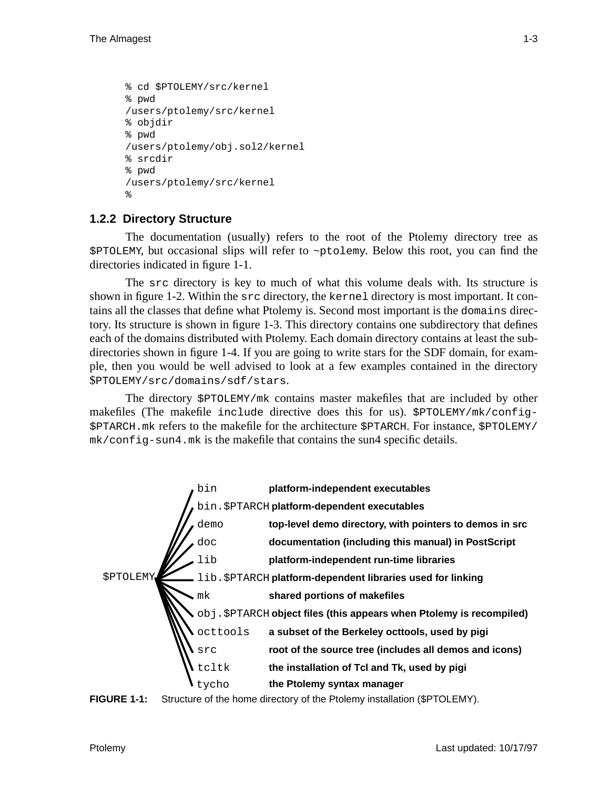```
% cd $PTOLEMY/src/kernel
% pwd
/users/ptolemy/src/kernel
% objdir
% pwd
/users/ptolemy/obj.sol2/kernel
% srcdir
% pwd
/users/ptolemy/src/kernel
%
```
## **1.2.2 Directory Structure**

The documentation (usually) refers to the root of the Ptolemy directory tree as \$PTOLEMY, but occasional slips will refer to ~ptolemy. Below this root, you can find the directories indicated in figure 1-1.

The src directory is key to much of what this volume deals with. Its structure is shown in figure 1-2. Within the src directory, the kernel directory is most important. It contains all the classes that define what Ptolemy is. Second most important is the domains directory. Its structure is shown in figure 1-3. This directory contains one subdirectory that defines each of the domains distributed with Ptolemy. Each domain directory contains at least the subdirectories shown in figure 1-4. If you are going to write stars for the SDF domain, for example, then you would be well advised to look at a few examples contained in the directory \$PTOLEMY/src/domains/sdf/stars.

The directory \$PTOLEMY/mk contains master makefiles that are included by other makefiles (The makefile include directive does this for us). \$PTOLEMY/mk/config- \$PTARCH.mk refers to the makefile for the architecture \$PTARCH. For instance, \$PTOLEMY/ mk/config-sun4.mk is the makefile that contains the sun4 specific details.



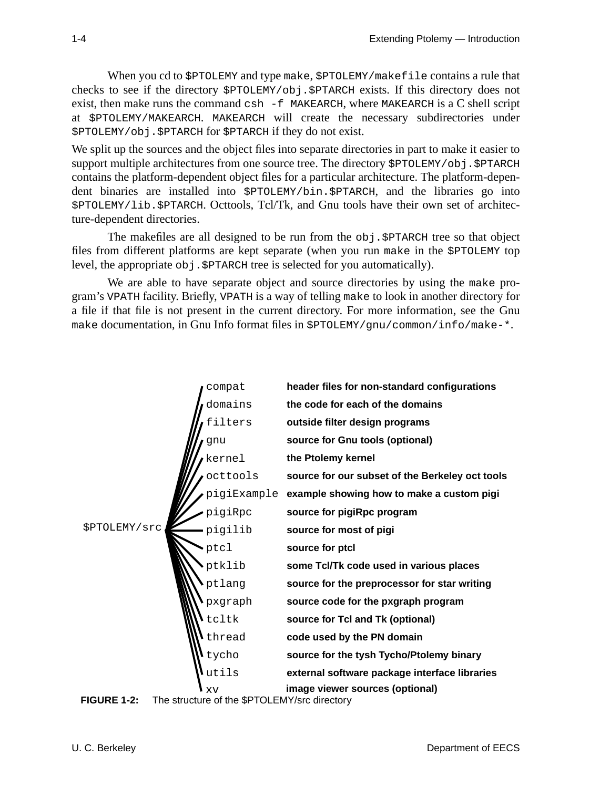When you cd to \$PTOLEMY and type make, \$PTOLEMY/makefile contains a rule that checks to see if the directory \$PTOLEMY/obj.\$PTARCH exists. If this directory does not exist, then make runs the command csh -f MAKEARCH, where MAKEARCH is a C shell script at \$PTOLEMY/MAKEARCH. MAKEARCH will create the necessary subdirectories under \$PTOLEMY/obj.\$PTARCH for \$PTARCH if they do not exist.

We split up the sources and the object files into separate directories in part to make it easier to support multiple architectures from one source tree. The directory  $$PTOLEMY/obj .$PTARCH$ contains the platform-dependent object files for a particular architecture. The platform-dependent binaries are installed into \$PTOLEMY/bin.\$PTARCH, and the libraries go into \$PTOLEMY/lib.\$PTARCH. Octtools, Tcl/Tk, and Gnu tools have their own set of architecture-dependent directories.

The makefiles are all designed to be run from the obj.\$PTARCH tree so that object files from different platforms are kept separate (when you run make in the \$PTOLEMY top level, the appropriate obj.\$PTARCH tree is selected for you automatically).

We are able to have separate object and source directories by using the make program's VPATH facility. Briefly, VPATH is a way of telling make to look in another directory for a file if that file is not present in the current directory. For more information, see the Gnu make documentation, in Gnu Info format files in \$PTOLEMY/gnu/common/info/make-\*.



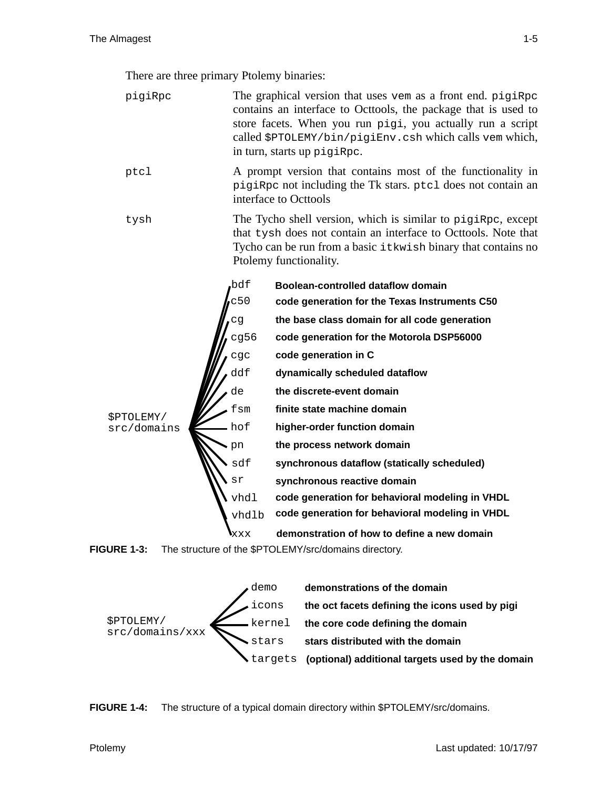There are three primary Ptolemy binaries:

pigiRpc The graphical version that uses vem as a front end. pigiRpc contains an interface to Octtools, the package that is used to store facets. When you run pigi, you actually run a script called \$PTOLEMY/bin/pigiEnv.csh which calls vem which, in turn, starts up pigiRpc. ptcl A prompt version that contains most of the functionality in pigiRpc not including the Tk stars. ptcl does not contain an interface to Octtools tysh The Tycho shell version, which is similar to pigiRpc, except that tysh does not contain an interface to Octtools. Note that Tycho can be run from a basic itkwish binary that contains no Ptolemy functionality. \$PTOLEMY/ sdf cg fsm bdf **synchronous dataflow (statically scheduled) the base class domain for all code generation finite state machine domain code generation for the Texas Instruments C50 Boolean-controlled dataflow domain** cg56 **code generation for the Motorola DSP56000** de **the discrete-event domain** cgc **code generation in C** pn **the process network domain** hof **higher-order function domain synchronous reactive domain** vhdl **code generation for behavioral modeling in VHDL** src/domains ddf **dynamically scheduled dataflow** vhdlb xxx **code generation for behavioral modeling in VHDL demonstration of how to define a new domain** sr c50





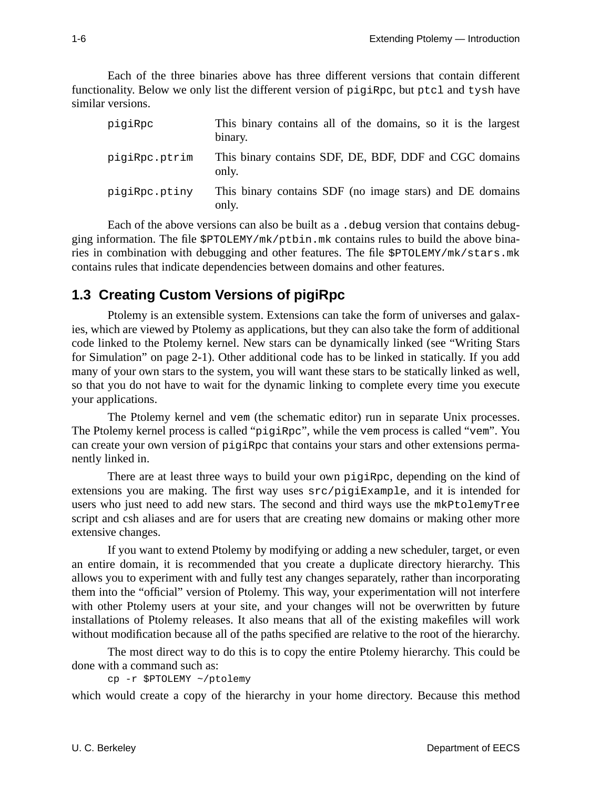Each of the three binaries above has three different versions that contain different functionality. Below we only list the different version of pigiRpc, but ptcl and tysh have similar versions.

| pigiRpc       | This binary contains all of the domains, so it is the largest<br>binary. |
|---------------|--------------------------------------------------------------------------|
| pigiRpc.ptrim | This binary contains SDF, DE, BDF, DDF and CGC domains<br>only.          |
| pigiRpc.ptiny | This binary contains SDF (no image stars) and DE domains<br>only.        |

Each of the above versions can also be built as a . debug version that contains debugging information. The file \$PTOLEMY/mk/ptbin.mk contains rules to build the above binaries in combination with debugging and other features. The file \$PTOLEMY/mk/stars.mk contains rules that indicate dependencies between domains and other features.

# **1.3 Creating Custom Versions of pigiRpc**

Ptolemy is an extensible system. Extensions can take the form of universes and galaxies, which are viewed by Ptolemy as applications, but they can also take the form of additional code linked to the Ptolemy kernel. New stars can be dynamically linked (see "Writing Stars for Simulation" on page 2-1). Other additional code has to be linked in statically. If you add many of your own stars to the system, you will want these stars to be statically linked as well, so that you do not have to wait for the dynamic linking to complete every time you execute your applications.

The Ptolemy kernel and vem (the schematic editor) run in separate Unix processes. The Ptolemy kernel process is called "pigiRpc", while the vem process is called "vem". You can create your own version of pigiRpc that contains your stars and other extensions permanently linked in.

There are at least three ways to build your own pigiRpc, depending on the kind of extensions you are making. The first way uses src/pigiExample, and it is intended for users who just need to add new stars. The second and third ways use the mkPtolemyTree script and csh aliases and are for users that are creating new domains or making other more extensive changes.

If you want to extend Ptolemy by modifying or adding a new scheduler, target, or even an entire domain, it is recommended that you create a duplicate directory hierarchy. This allows you to experiment with and fully test any changes separately, rather than incorporating them into the "official" version of Ptolemy. This way, your experimentation will not interfere with other Ptolemy users at your site, and your changes will not be overwritten by future installations of Ptolemy releases. It also means that all of the existing makefiles will work without modification because all of the paths specified are relative to the root of the hierarchy.

The most direct way to do this is to copy the entire Ptolemy hierarchy. This could be done with a command such as:

cp -r \$PTOLEMY ~/ptolemy

which would create a copy of the hierarchy in your home directory. Because this method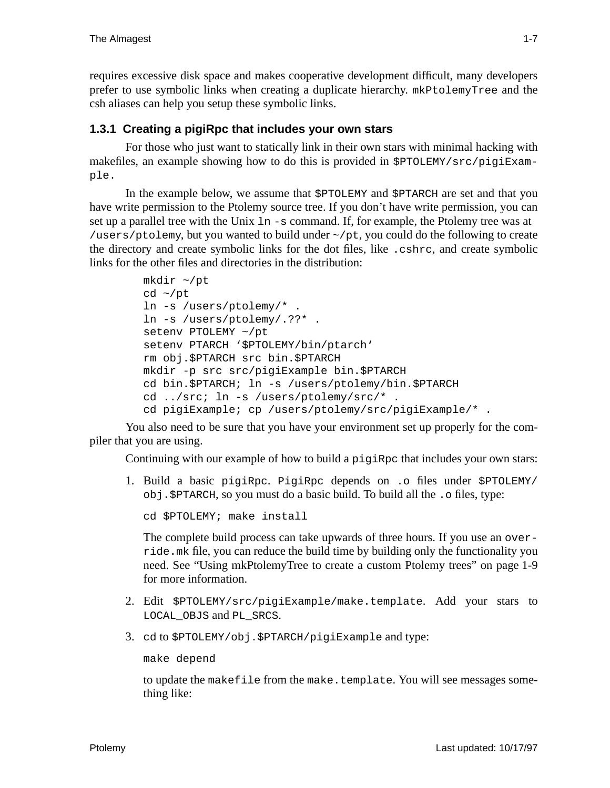requires excessive disk space and makes cooperative development difficult, many developers prefer to use symbolic links when creating a duplicate hierarchy. mkPtolemyTree and the csh aliases can help you setup these symbolic links.

## **1.3.1 Creating a pigiRpc that includes your own stars**

For those who just want to statically link in their own stars with minimal hacking with makefiles, an example showing how to do this is provided in \$PTOLEMY/src/pigiExample.

In the example below, we assume that \$PTOLEMY and \$PTARCH are set and that you have write permission to the Ptolemy source tree. If you don't have write permission, you can set up a parallel tree with the Unix ln -s command. If, for example, the Ptolemy tree was at /users/ptolemy, but you wanted to build under ~/pt, you could do the following to create the directory and create symbolic links for the dot files, like .cshrc, and create symbolic links for the other files and directories in the distribution:

```
mkdir ~/pt
cd \sim /ptln -s /users/ptolemy/* .
ln -s /users/ptolemy/.??* .
setenv PTOLEMY ~/pt
setenv PTARCH '$PTOLEMY/bin/ptarch'
rm obj.$PTARCH src bin.$PTARCH
mkdir -p src src/pigiExample bin.$PTARCH
cd bin.$PTARCH; ln -s /users/ptolemy/bin.$PTARCH
cd ../src; ln -s /users/ptolemy/src/* .
cd pigiExample; cp /users/ptolemy/src/pigiExample/* .
```
You also need to be sure that you have your environment set up properly for the compiler that you are using.

Continuing with our example of how to build a pigiRpc that includes your own stars:

1. Build a basic pigiRpc. PigiRpc depends on .o files under \$PTOLEMY/ obj.\$PTARCH, so you must do a basic build. To build all the .o files, type:

cd \$PTOLEMY; make install

The complete build process can take upwards of three hours. If you use an override.mk file, you can reduce the build time by building only the functionality you need. See "Using mkPtolemyTree to create a custom Ptolemy trees" on page 1-9 for more information.

- 2. Edit \$PTOLEMY/src/pigiExample/make.template. Add your stars to LOCAL\_OBJS and PL\_SRCS.
- 3. cd to \$PTOLEMY/obj.\$PTARCH/pigiExample and type:

make depend

to update the makefile from the make.template. You will see messages something like: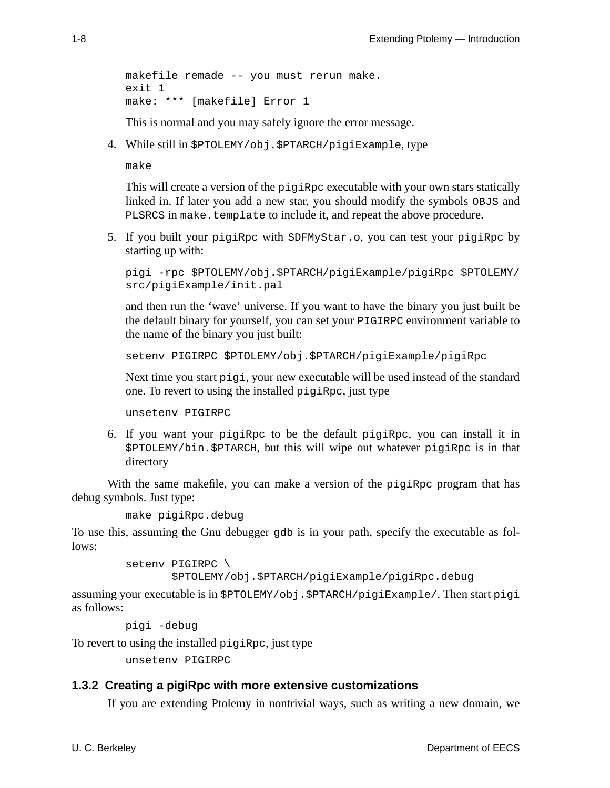```
makefile remade -- you must rerun make.
exit 1
make: *** [makefile] Error 1
```
This is normal and you may safely ignore the error message.

4. While still in \$PTOLEMY/obj.\$PTARCH/pigiExample, type

make

This will create a version of the pigiRpc executable with your own stars statically linked in. If later you add a new star, you should modify the symbols OBJS and PLSRCS in make.template to include it, and repeat the above procedure.

5. If you built your pigiRpc with SDFMyStar.o, you can test your pigiRpc by starting up with:

```
pigi -rpc $PTOLEMY/obj.$PTARCH/pigiExample/pigiRpc $PTOLEMY/
src/pigiExample/init.pal
```
and then run the 'wave' universe. If you want to have the binary you just built be the default binary for yourself, you can set your PIGIRPC environment variable to the name of the binary you just built:

```
setenv PIGIRPC $PTOLEMY/obj.$PTARCH/pigiExample/pigiRpc
```
Next time you start pigi, your new executable will be used instead of the standard one. To revert to using the installed pigiRpc, just type

unsetenv PIGIRPC

6. If you want your pigiRpc to be the default pigiRpc, you can install it in \$PTOLEMY/bin.\$PTARCH, but this will wipe out whatever pigiRpc is in that directory

With the same makefile, you can make a version of the pigiRpc program that has debug symbols. Just type:

```
make pigiRpc.debug
```
To use this, assuming the Gnu debugger gdb is in your path, specify the executable as follows:

```
setenv PIGIRPC \
```
\$PTOLEMY/obj.\$PTARCH/pigiExample/pigiRpc.debug

assuming your executable is in  $$PTOLEMY/obj.$PTARCH/piqiExample/$ . Then start pigi as follows:

```
pigi -debug
```
To revert to using the installed pigiRpc, just type

unsetenv PIGIRPC

# **1.3.2 Creating a pigiRpc with more extensive customizations**

If you are extending Ptolemy in nontrivial ways, such as writing a new domain, we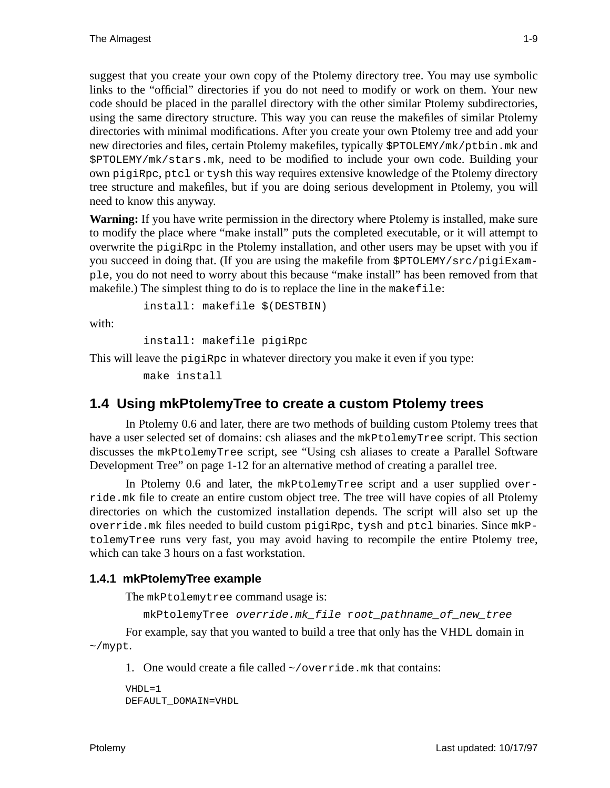suggest that you create your own copy of the Ptolemy directory tree. You may use symbolic links to the "official" directories if you do not need to modify or work on them. Your new code should be placed in the parallel directory with the other similar Ptolemy subdirectories, using the same directory structure. This way you can reuse the makefiles of similar Ptolemy directories with minimal modifications. After you create your own Ptolemy tree and add your new directories and files, certain Ptolemy makefiles, typically \$PTOLEMY/mk/ptbin.mk and \$PTOLEMY/mk/stars.mk, need to be modified to include your own code. Building your own pigiRpc, ptcl or tysh this way requires extensive knowledge of the Ptolemy directory tree structure and makefiles, but if you are doing serious development in Ptolemy, you will need to know this anyway.

**Warning:** If you have write permission in the directory where Ptolemy is installed, make sure to modify the place where "make install" puts the completed executable, or it will attempt to overwrite the pigiRpc in the Ptolemy installation, and other users may be upset with you if you succeed in doing that. (If you are using the makefile from \$PTOLEMY/src/pigiExample, you do not need to worry about this because "make install" has been removed from that makefile.) The simplest thing to do is to replace the line in the makefile:

install: makefile \$(DESTBIN)

with:

```
install: makefile pigiRpc
```
This will leave the pigiRpc in whatever directory you make it even if you type:

make install

# **1.4 Using mkPtolemyTree to create a custom Ptolemy trees**

In Ptolemy 0.6 and later, there are two methods of building custom Ptolemy trees that have a user selected set of domains: csh aliases and the mkPtolemyTree script. This section discusses the mkPtolemyTree script, see "Using csh aliases to create a Parallel Software Development Tree" on page 1-12 for an alternative method of creating a parallel tree.

In Ptolemy 0.6 and later, the mkPtolemyTree script and a user supplied override.mk file to create an entire custom object tree. The tree will have copies of all Ptolemy directories on which the customized installation depends. The script will also set up the override.mk files needed to build custom pigiRpc, tysh and ptcl binaries. Since mkPtolemyTree runs very fast, you may avoid having to recompile the entire Ptolemy tree, which can take 3 hours on a fast workstation.

## **1.4.1 mkPtolemyTree example**

The mkPtolemytree command usage is:

```
mkPtolemyTree override.mk file root pathname of new tree
```
For example, say that you wanted to build a tree that only has the VHDL domain in ~/mypt.

1. One would create a file called  $\sim$ /override.mk that contains:

```
VHDI = 1DEFAULT_DOMAIN=VHDL
```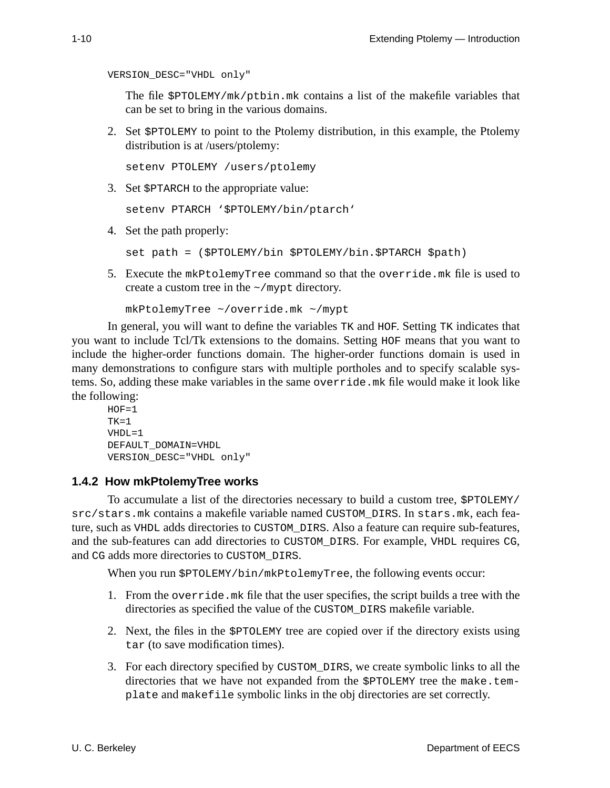```
VERSION_DESC="VHDL only"
```
The file \$PTOLEMY/mk/ptbin.mk contains a list of the makefile variables that can be set to bring in the various domains.

2. Set \$PTOLEMY to point to the Ptolemy distribution, in this example, the Ptolemy distribution is at /users/ptolemy:

setenv PTOLEMY /users/ptolemy

3. Set \$PTARCH to the appropriate value:

setenv PTARCH '\$PTOLEMY/bin/ptarch'

4. Set the path properly:

set path = (\$PTOLEMY/bin \$PTOLEMY/bin.\$PTARCH \$path)

5. Execute the mkPtolemyTree command so that the override.mk file is used to create a custom tree in the  $\sim$ /mypt directory.

mkPtolemyTree ~/override.mk ~/mypt

In general, you will want to define the variables TK and HOF. Setting TK indicates that you want to include Tcl/Tk extensions to the domains. Setting HOF means that you want to include the higher-order functions domain. The higher-order functions domain is used in many demonstrations to configure stars with multiple portholes and to specify scalable systems. So, adding these make variables in the same override.mk file would make it look like the following:

```
HOF=1TK=1VHDL=1
DEFAULT_DOMAIN=VHDL
VERSION_DESC="VHDL only"
```
#### **1.4.2 How mkPtolemyTree works**

To accumulate a list of the directories necessary to build a custom tree, \$PTOLEMY/ src/stars.mk contains a makefile variable named CUSTOM\_DIRS. In stars.mk, each feature, such as VHDL adds directories to CUSTOM\_DIRS. Also a feature can require sub-features, and the sub-features can add directories to CUSTOM\_DIRS. For example, VHDL requires CG, and CG adds more directories to CUSTOM\_DIRS.

When you run \$PTOLEMY/bin/mkPtolemyTree, the following events occur:

- 1. From the override.mk file that the user specifies, the script builds a tree with the directories as specified the value of the CUSTOM\_DIRS makefile variable.
- 2. Next, the files in the \$PTOLEMY tree are copied over if the directory exists using tar (to save modification times).
- 3. For each directory specified by CUSTOM\_DIRS, we create symbolic links to all the directories that we have not expanded from the \$PTOLEMY tree the make.template and makefile symbolic links in the obj directories are set correctly.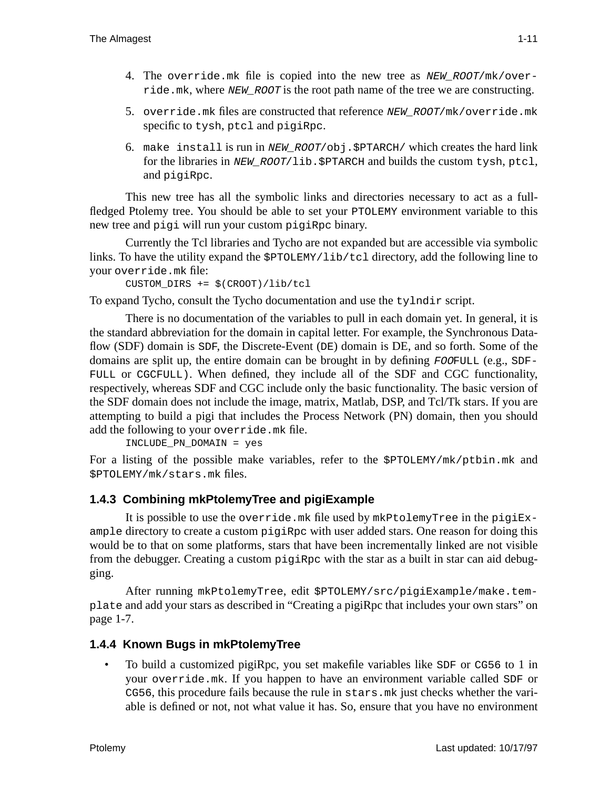- 4. The override.mk file is copied into the new tree as  $NEW$   $ROOT/mk/over$ ride.mk, where NEW ROOT is the root path name of the tree we are constructing.
- 5. override.mk files are constructed that reference NEW\_ROOT/mk/override.mk specific to tysh, ptcl and pigiRpc.
- 6. make install is run in NEW\_ROOT/obj.\$PTARCH/ which creates the hard link for the libraries in NEW\_ROOT/lib. \$PTARCH and builds the custom tysh, ptcl, and pigiRpc.

This new tree has all the symbolic links and directories necessary to act as a fullfledged Ptolemy tree. You should be able to set your PTOLEMY environment variable to this new tree and pigi will run your custom pigiRpc binary.

Currently the Tcl libraries and Tycho are not expanded but are accessible via symbolic links. To have the utility expand the \$PTOLEMY/lib/tcl directory, add the following line to your override.mk file:

```
CUSTOM_DIRS += $(CROOT)/lib/tcl
```
To expand Tycho, consult the Tycho documentation and use the tylndir script.

There is no documentation of the variables to pull in each domain yet. In general, it is the standard abbreviation for the domain in capital letter. For example, the Synchronous Dataflow (SDF) domain is SDF, the Discrete-Event (DE) domain is DE, and so forth. Some of the domains are split up, the entire domain can be brought in by defining  $FOOFULL$  (e.g., SDF-FULL or CGCFULL). When defined, they include all of the SDF and CGC functionality, respectively, whereas SDF and CGC include only the basic functionality. The basic version of the SDF domain does not include the image, matrix, Matlab, DSP, and Tcl/Tk stars. If you are attempting to build a pigi that includes the Process Network (PN) domain, then you should add the following to your override.mk file.

INCLUDE\_PN\_DOMAIN = yes

For a listing of the possible make variables, refer to the \$PTOLEMY/mk/ptbin.mk and \$PTOLEMY/mk/stars.mk files.

## **1.4.3 Combining mkPtolemyTree and pigiExample**

It is possible to use the override.mk file used by mkPtolemyTree in the pigiExample directory to create a custom pigiRpc with user added stars. One reason for doing this would be to that on some platforms, stars that have been incrementally linked are not visible from the debugger. Creating a custom pigiRpc with the star as a built in star can aid debugging.

After running mkPtolemyTree, edit \$PTOLEMY/src/pigiExample/make.template and add your stars as described in "Creating a pigiRpc that includes your own stars" on page 1-7.

## **1.4.4 Known Bugs in mkPtolemyTree**

 • To build a customized pigiRpc, you set makefile variables like SDF or CG56 to 1 in your override.mk. If you happen to have an environment variable called SDF or CG56, this procedure fails because the rule in stars.mk just checks whether the variable is defined or not, not what value it has. So, ensure that you have no environment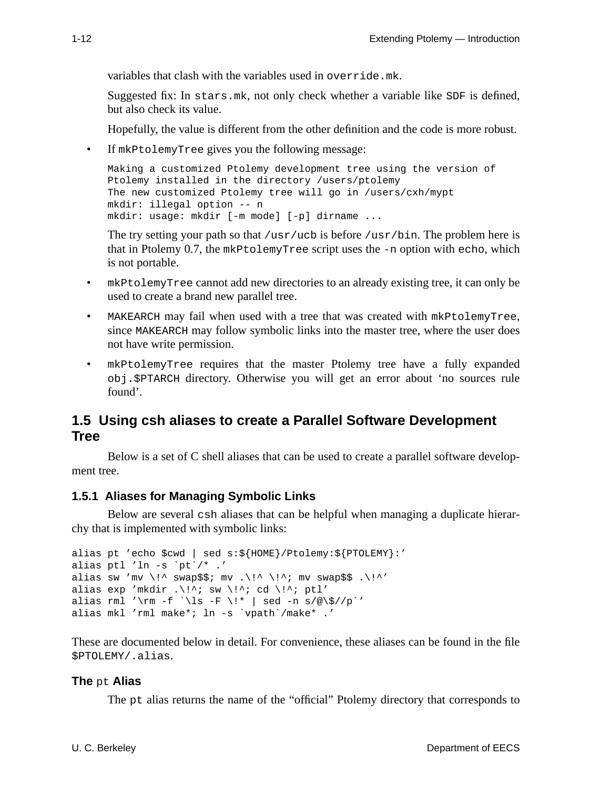variables that clash with the variables used in override.mk.

Suggested fix: In stars.mk, not only check whether a variable like SDF is defined, but also check its value.

Hopefully, the value is different from the other definition and the code is more robust.

• If mkPtolemyTree gives you the following message:

```
Making a customized Ptolemy development tree using the version of
Ptolemy installed in the directory /users/ptolemy
The new customized Ptolemy tree will go in /users/cxh/mypt
mkdir: illegal option -- n
mkdir: usage: mkdir [-m mode] [-p] dirname ...
```
The try setting your path so that /usr/ucb is before /usr/bin. The problem here is that in Ptolemy 0.7, the mkPtolemyTree script uses the -n option with echo, which is not portable.

- mkPtolemyTree cannot add new directories to an already existing tree, it can only be used to create a brand new parallel tree.
- MAKEARCH may fail when used with a tree that was created with mkPtolemyTree, since MAKEARCH may follow symbolic links into the master tree, where the user does not have write permission.
- mkPtolemyTree requires that the master Ptolemy tree have a fully expanded obj.\$PTARCH directory. Otherwise you will get an error about 'no sources rule found'.

# **1.5 Using csh aliases to create a Parallel Software Development Tree**

Below is a set of C shell aliases that can be used to create a parallel software development tree.

## **1.5.1 Aliases for Managing Symbolic Links**

Below are several csh aliases that can be helpful when managing a duplicate hierarchy that is implemented with symbolic links:

```
alias pt 'echo $cwd | sed s:${HOME}/Ptolemy:${PTOLEMY}:'
alias ptl 'ln -s `pt`/* .'
alias sw 'mv \!^ swap$$; mv .\!^ \!^; mv swap$$ .\!^'
alias exp 'mkdir .\i{}'' sw \i{}': cd \i{}'; ptl'
alias rml '\rm -f `\ls -F \!* | sed -n s/@\$//p`'
alias mkl 'rml make*; ln -s `vpath`/make* .'
```
These are documented below in detail. For convenience, these aliases can be found in the file \$PTOLEMY/.alias.

## **The** pt **Alias**

The pt alias returns the name of the "official" Ptolemy directory that corresponds to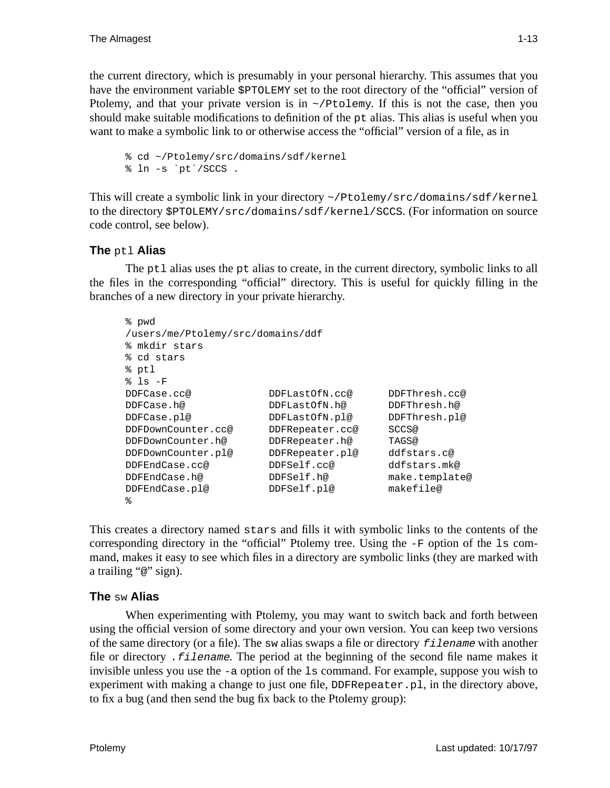the current directory, which is presumably in your personal hierarchy. This assumes that you have the environment variable  $$PTOLEMY$  set to the root directory of the "official" version of Ptolemy, and that your private version is in  $\sim$ /Ptolemy. If this is not the case, then you should make suitable modifications to definition of the  $pt$  alias. This alias is useful when you want to make a symbolic link to or otherwise access the "official" version of a file, as in

```
% cd ~/Ptolemy/src/domains/sdf/kernel
% ln -s `pt`/SCCS .
```
This will create a symbolic link in your directory ~/Ptolemy/src/domains/sdf/kernel to the directory \$PTOLEMY/src/domains/sdf/kernel/SCCS. (For information on source code control, see below).

## **The** ptl **Alias**

The ptl alias uses the pt alias to create, in the current directory, symbolic links to all the files in the corresponding "official" directory. This is useful for quickly filling in the branches of a new directory in your private hierarchy.

```
% pwd
/users/me/Ptolemy/src/domains/ddf
% mkdir stars
% cd stars
% ptl
% ls -F
DDFCase.cc@ DDFLastOfN.cc@ DDFThresh.cc@
DDFCase.h@ DDFLastOfN.h@ DDFThresh.h@
DDFCase.pl@ DDFLastOfN.pl@ DDFThresh.pl@
DDFDownCounter.cc@ DDFRepeater.cc@ SCCS@
DDFDownCounter.h@ DDFRepeater.h@ TAGS@
DDFDownCounter.pl@ DDFRepeater.pl@ ddfstars.c@
DDFEndCase.cc@ DDFSelf.cc@ ddfstars.mk@
DDFEndCase.h@ DDFSelf.h@ make.template@
DDFEndCase.pl@ DDFSelf.pl@ makefile@
%
```
This creates a directory named stars and fills it with symbolic links to the contents of the corresponding directory in the "official" Ptolemy tree. Using the  $-F$  option of the  $1s$  command, makes it easy to see which files in a directory are symbolic links (they are marked with a trailing "@" sign).

## **The** sw **Alias**

When experimenting with Ptolemy, you may want to switch back and forth between using the official version of some directory and your own version. You can keep two versions of the same directory (or a file). The sw alias swaps a file or directory filename with another file or directory *filename*. The period at the beginning of the second file name makes it invisible unless you use the -a option of the ls command. For example, suppose you wish to experiment with making a change to just one file, DDFRepeater.pl, in the directory above, to fix a bug (and then send the bug fix back to the Ptolemy group):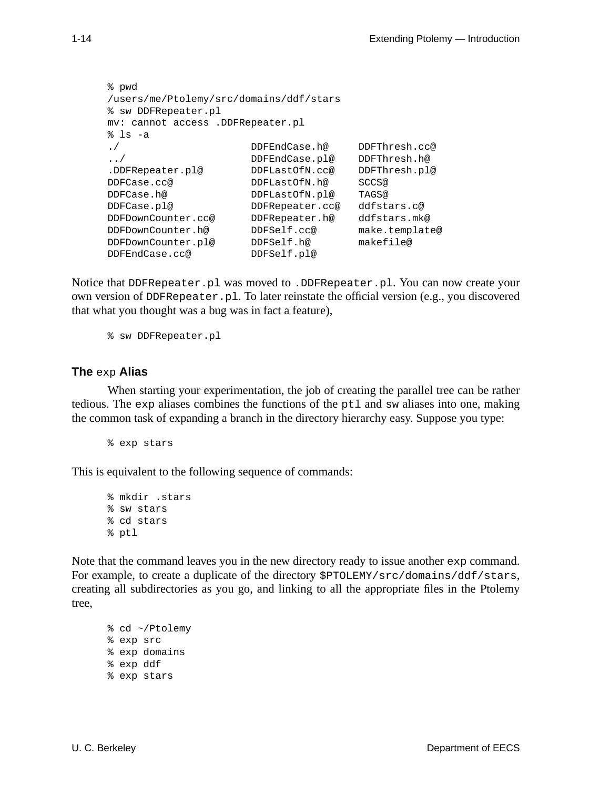```
% pwd
/users/me/Ptolemy/src/domains/ddf/stars
% sw DDFRepeater.pl
mv: cannot access .DDFRepeater.pl
% ls -a
./ DDFEndCase.h@ DDFThresh.cc@
../ DDFEndCase.pl@ DDFThresh.h@
.DDFRepeater.pl@ DDFLastOfN.cc@ DDFThresh.pl@
DDFCase.cc@ DDFLastOfN.h@ SCCS@
DDFCase.h@ DDFLastOfN.pl@ TAGS@
DDFCase.pl@ DDFRepeater.cc@ ddfstars.c@
DDFDownCounter.cc@ DDFRepeater.h@ ddfstars.mk@
DDFDownCounter.h@ DDFSelf.cc@ make.template@
DDFDownCounter.pl@ DDFSelf.h@ makefile@
DDFEndCase.cc@ DDFSelf.pl@
```
Notice that DDFRepeater.pl was moved to .DDFRepeater.pl. You can now create your own version of DDFRepeater.pl. To later reinstate the official version (e.g., you discovered that what you thought was a bug was in fact a feature),

% sw DDFRepeater.pl

#### **The** exp **Alias**

When starting your experimentation, the job of creating the parallel tree can be rather tedious. The exp aliases combines the functions of the  $pt1$  and sw aliases into one, making the common task of expanding a branch in the directory hierarchy easy. Suppose you type:

```
% exp stars
```
This is equivalent to the following sequence of commands:

```
% mkdir .stars
% sw stars
% cd stars
% ptl
```
Note that the command leaves you in the new directory ready to issue another exp command. For example, to create a duplicate of the directory  $$PTOLEMY/src/domains/ddf/stars,$ creating all subdirectories as you go, and linking to all the appropriate files in the Ptolemy tree,

```
% cd ~/Ptolemy
% exp src
% exp domains
% exp ddf
% exp stars
```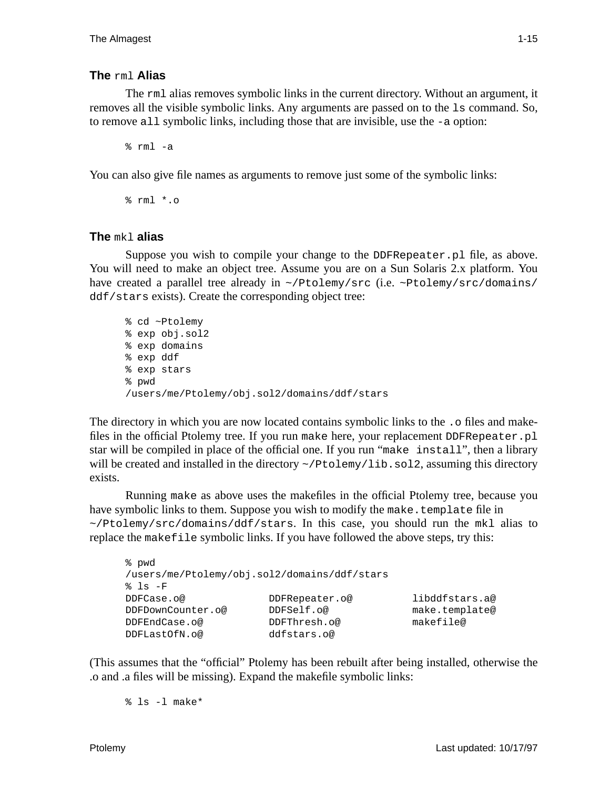## **The** rml **Alias**

The rml alias removes symbolic links in the current directory. Without an argument, it removes all the visible symbolic links. Any arguments are passed on to the ls command. So, to remove all symbolic links, including those that are invisible, use the -a option:

% rml -a

You can also give file names as arguments to remove just some of the symbolic links:

% rml \*.o

## **The** mkl **alias**

Suppose you wish to compile your change to the DDFRepeater.pl file, as above. You will need to make an object tree. Assume you are on a Sun Solaris 2.x platform. You have created a parallel tree already in ~/Ptolemy/src (i.e. ~Ptolemy/src/domains/ ddf/stars exists). Create the corresponding object tree:

```
% cd ~Ptolemy
% exp obj.sol2
% exp domains
% exp ddf
% exp stars
% pwd
/users/me/Ptolemy/obj.sol2/domains/ddf/stars
```
The directory in which you are now located contains symbolic links to the . o files and makefiles in the official Ptolemy tree. If you run make here, your replacement DDFRepeater.pl star will be compiled in place of the official one. If you run "make install", then a library will be created and installed in the directory  $\sim$ /Ptolemy/lib.sol2, assuming this directory exists.

Running make as above uses the makefiles in the official Ptolemy tree, because you have symbolic links to them. Suppose you wish to modify the make.template file in ~/Ptolemy/src/domains/ddf/stars. In this case, you should run the mkl alias to replace the makefile symbolic links. If you have followed the above steps, try this:

```
% pwd
/users/me/Ptolemy/obj.sol2/domains/ddf/stars
s ls -FDDFCase.o@ DDFRepeater.o@ libddfstars.a@
DDFDownCounter.o@ DDFSelf.o@ make.template@
DDFEndCase.o@ DDFThresh.o@ makefile@
DDFLastOfN.o@ ddfstars.o@
```
(This assumes that the "official" Ptolemy has been rebuilt after being installed, otherwise the .o and .a files will be missing). Expand the makefile symbolic links:

% ls -l make\*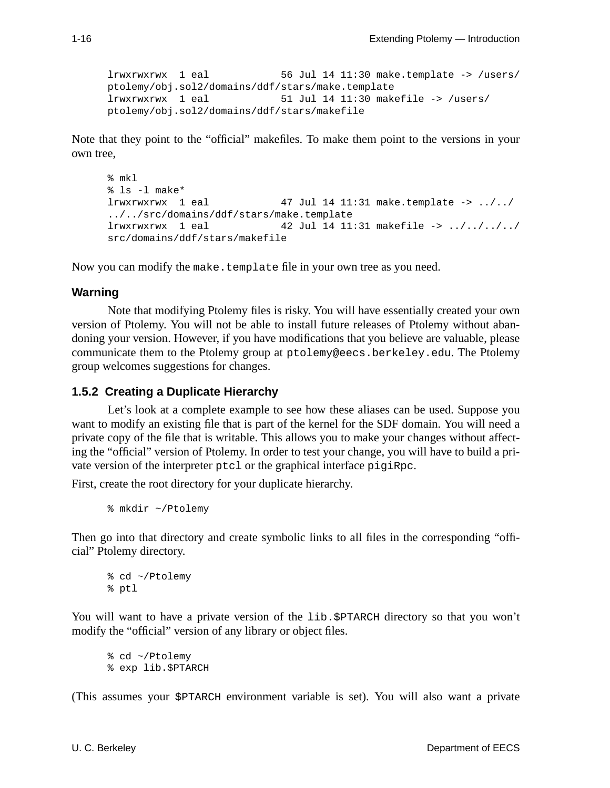lrwxrwxrwx 1 eal 56 Jul 14 11:30 make.template -> /users/ ptolemy/obj.sol2/domains/ddf/stars/make.template lrwxrwxrwx 1 eal 51 Jul 14 11:30 makefile -> /users/ ptolemy/obj.sol2/domains/ddf/stars/makefile

Note that they point to the "official" makefiles. To make them point to the versions in your own tree,

```
% mkl
% ls -l make*
lrwxrwxrwx 1 eal 47 Jul 14 11:31 make.template -> ../../
../../src/domains/ddf/stars/make.template
lrwxrwxrwx 1 eal 42 Jul 14 11:31 makefile -> ../../../../
src/domains/ddf/stars/makefile
```
Now you can modify the make.template file in your own tree as you need.

#### **Warning**

Note that modifying Ptolemy files is risky. You will have essentially created your own version of Ptolemy. You will not be able to install future releases of Ptolemy without abandoning your version. However, if you have modifications that you believe are valuable, please communicate them to the Ptolemy group at ptolemy@eecs.berkeley.edu. The Ptolemy group welcomes suggestions for changes.

#### **1.5.2 Creating a Duplicate Hierarchy**

Let's look at a complete example to see how these aliases can be used. Suppose you want to modify an existing file that is part of the kernel for the SDF domain. You will need a private copy of the file that is writable. This allows you to make your changes without affecting the "official" version of Ptolemy. In order to test your change, you will have to build a private version of the interpreter ptcl or the graphical interface pigiRpc.

First, create the root directory for your duplicate hierarchy.

```
% mkdir ~/Ptolemy
```
Then go into that directory and create symbolic links to all files in the corresponding "official" Ptolemy directory.

% cd ~/Ptolemy % ptl

You will want to have a private version of the lib.\$PTARCH directory so that you won't modify the "official" version of any library or object files.

% cd ~/Ptolemy % exp lib.\$PTARCH

(This assumes your \$PTARCH environment variable is set). You will also want a private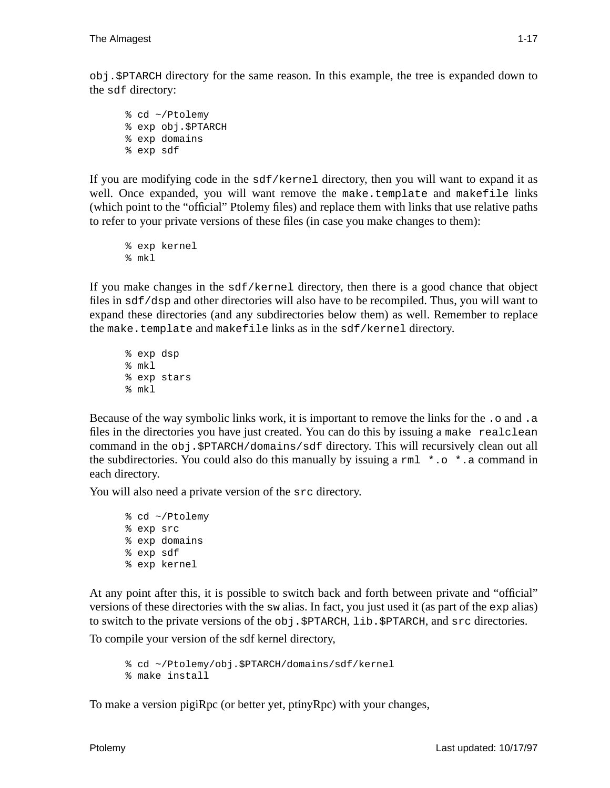obj.\$PTARCH directory for the same reason. In this example, the tree is expanded down to the sdf directory:

% cd ~/Ptolemy % exp obj.\$PTARCH % exp domains % exp sdf

If you are modifying code in the sdf/kernel directory, then you will want to expand it as well. Once expanded, you will want remove the make.template and makefile links (which point to the "official" Ptolemy files) and replace them with links that use relative paths to refer to your private versions of these files (in case you make changes to them):

```
% exp kernel
% mkl
```
If you make changes in the sdf/kernel directory, then there is a good chance that object files in sdf/dsp and other directories will also have to be recompiled. Thus, you will want to expand these directories (and any subdirectories below them) as well. Remember to replace the make.template and makefile links as in the sdf/kernel directory.

```
% exp dsp
% mkl
% exp stars
% mkl
```
Because of the way symbolic links work, it is important to remove the links for the  $\cdot$  o and  $\cdot$  a files in the directories you have just created. You can do this by issuing a make realclean command in the obj.\$PTARCH/domains/sdf directory. This will recursively clean out all the subdirectories. You could also do this manually by issuing a  $rm1 * . o * . a command in$ each directory.

You will also need a private version of the src directory.

```
% cd ~/Ptolemy
% exp src
% exp domains
% exp sdf
% exp kernel
```
At any point after this, it is possible to switch back and forth between private and "official" versions of these directories with the sw alias. In fact, you just used it (as part of the exp alias) to switch to the private versions of the obj.\$PTARCH, lib.\$PTARCH, and src directories.

To compile your version of the sdf kernel directory,

```
% cd ~/Ptolemy/obj.$PTARCH/domains/sdf/kernel
% make install
```
To make a version pigiRpc (or better yet, ptinyRpc) with your changes,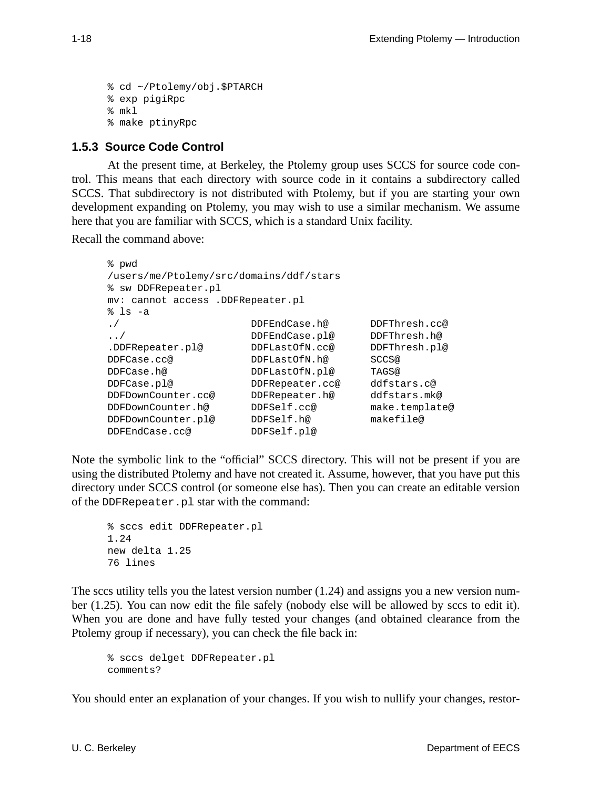```
% cd ~/Ptolemy/obj.$PTARCH
% exp pigiRpc
% mkl
% make ptinyRpc
```
## **1.5.3 Source Code Control**

At the present time, at Berkeley, the Ptolemy group uses SCCS for source code control. This means that each directory with source code in it contains a subdirectory called SCCS. That subdirectory is not distributed with Ptolemy, but if you are starting your own development expanding on Ptolemy, you may wish to use a similar mechanism. We assume here that you are familiar with SCCS, which is a standard Unix facility.

Recall the command above:

```
% pwd
/users/me/Ptolemy/src/domains/ddf/stars
% sw DDFRepeater.pl
mv: cannot access .DDFRepeater.pl
% ls -a
./ DDFEndCase.h@ DDFThresh.cc@
../ DDFEndCase.pl@ DDFThresh.h@
.DDFRepeater.pl@ DDFLastOfN.cc@ DDFThresh.pl@
DDFCase.cc@ DDFLastOfN.h@ SCCS@
DDFCase.h@ DDFLastOfN.pl@ TAGS@
DDFCase.pl@ DDFRepeater.cc@ ddfstars.c@
DDFDownCounter.cc@ DDFRepeater.h@ ddfstars.mk@
DDFDownCounter.h@ DDFSelf.cc@ make.template@
DDFDownCounter.pl@ DDFSelf.h@ makefile@
DDFEndCase.cc@ DDFSelf.pl@
```
Note the symbolic link to the "official" SCCS directory. This will not be present if you are using the distributed Ptolemy and have not created it. Assume, however, that you have put this directory under SCCS control (or someone else has). Then you can create an editable version of the DDFRepeater.pl star with the command:

```
% sccs edit DDFRepeater.pl
1.24
new delta 1.25
76 lines
```
The sccs utility tells you the latest version number  $(1.24)$  and assigns you a new version number (1.25). You can now edit the file safely (nobody else will be allowed by sccs to edit it). When you are done and have fully tested your changes (and obtained clearance from the Ptolemy group if necessary), you can check the file back in:

% sccs delget DDFRepeater.pl comments?

You should enter an explanation of your changes. If you wish to nullify your changes, restor-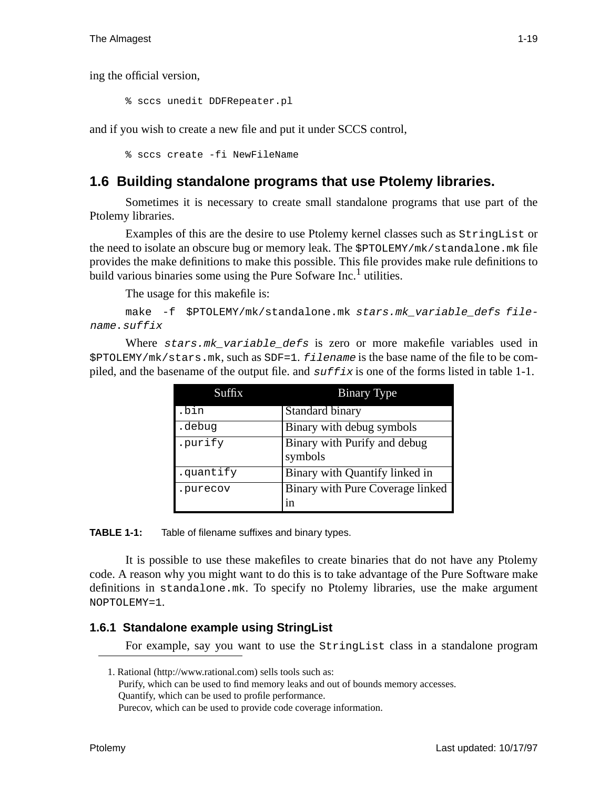ing the official version,

% sccs unedit DDFRepeater.pl

and if you wish to create a new file and put it under SCCS control,

% sccs create -fi NewFileName

# **1.6 Building standalone programs that use Ptolemy libraries.**

Sometimes it is necessary to create small standalone programs that use part of the Ptolemy libraries.

Examples of this are the desire to use Ptolemy kernel classes such as StringList or the need to isolate an obscure bug or memory leak. The \$PTOLEMY/mk/standalone.mk file provides the make definitions to make this possible. This file provides make rule definitions to build various binaries some using the Pure Sofware Inc.<sup>1</sup> utilities.

The usage for this makefile is:

make -f \$PTOLEMY/mk/standalone.mk stars.mk\_variable\_defs filename.suffix

Where  $stars.\nm!$  variable defs is zero or more makefile variables used in \$PTOLEMY/mk/stars.mk, such as SDF=1. filename is the base name of the file to be compiled, and the basename of the output file. and  $\frac{suffix}{s}$  is one of the forms listed in table 1-1.

| Suffix    | <b>Binary Type</b>                      |
|-----------|-----------------------------------------|
| .bin      | Standard binary                         |
| .debug    | Binary with debug symbols               |
| .purify   | Binary with Purify and debug<br>symbols |
| .quantify | Binary with Quantify linked in          |
| .purecov  | Binary with Pure Coverage linked<br>1n  |

**TABLE 1-1:** Table of filename suffixes and binary types.

It is possible to use these makefiles to create binaries that do not have any Ptolemy code. A reason why you might want to do this is to take advantage of the Pure Software make definitions in standalone.mk. To specify no Ptolemy libraries, use the make argument NOPTOLEMY=1.

## **1.6.1 Standalone example using StringList**

For example, say you want to use the StringList class in a standalone program

1. Rational (http://www.rational.com) sells tools such as: Purify, which can be used to find memory leaks and out of bounds memory accesses. Quantify, which can be used to profile performance. Purecov, which can be used to provide code coverage information.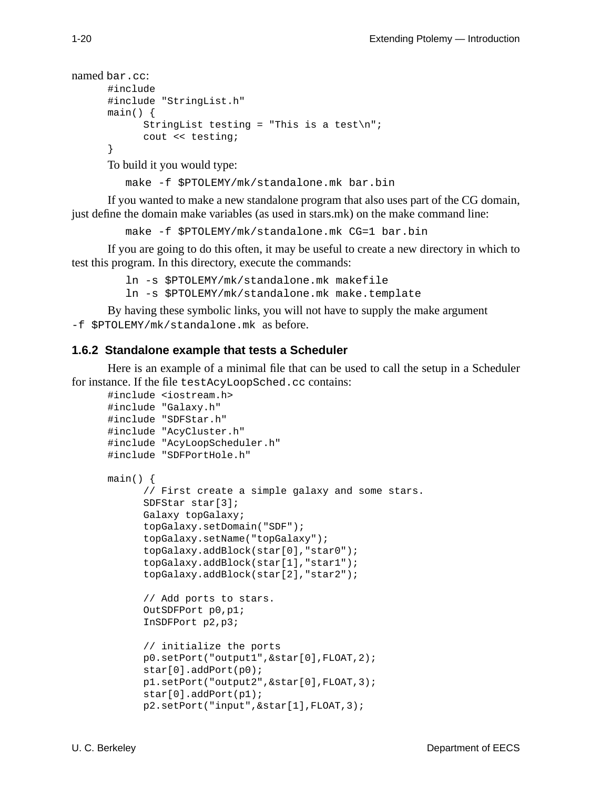```
named bar.cc:
      #include
      #include "StringList.h"
      main() {
            StringList testing = "This is a test\n";
            cout << testing;
      }
```
To build it you would type:

make -f \$PTOLEMY/mk/standalone.mk bar.bin

If you wanted to make a new standalone program that also uses part of the CG domain, just define the domain make variables (as used in stars.mk) on the make command line:

make -f \$PTOLEMY/mk/standalone.mk CG=1 bar.bin

If you are going to do this often, it may be useful to create a new directory in which to test this program. In this directory, execute the commands:

```
ln -s $PTOLEMY/mk/standalone.mk makefile
```
ln -s \$PTOLEMY/mk/standalone.mk make.template

By having these symbolic links, you will not have to supply the make argument -f \$PTOLEMY/mk/standalone.mk as before.

#### **1.6.2 Standalone example that tests a Scheduler**

Here is an example of a minimal file that can be used to call the setup in a Scheduler for instance. If the file testAcyLoopSched.cc contains:

```
#include <iostream.h>
#include "Galaxy.h"
#include "SDFStar.h"
#include "AcyCluster.h"
#include "AcyLoopScheduler.h"
#include "SDFPortHole.h"
main() {
      // First create a simple galaxy and some stars.
      SDFStar star[3];
      Galaxy topGalaxy;
      topGalaxy.setDomain("SDF");
      topGalaxy.setName("topGalaxy");
      topGalaxy.addBlock(star[0],"star0");
      topGalaxy.addBlock(star[1],"star1");
      topGalaxy.addBlock(star[2],"star2");
      // Add ports to stars.
      OutSDFPort p0,p1;
      InSDFPort p2,p3;
      // initialize the ports
      p0.setPort("output1",&star[0],FLOAT,2);
      star[0].addPort(p0);
      p1.setPort("output2",&star[0],FLOAT,3);
      star[0].addPort(p1);
      p2.setPort("input",&star[1],FLOAT,3);
```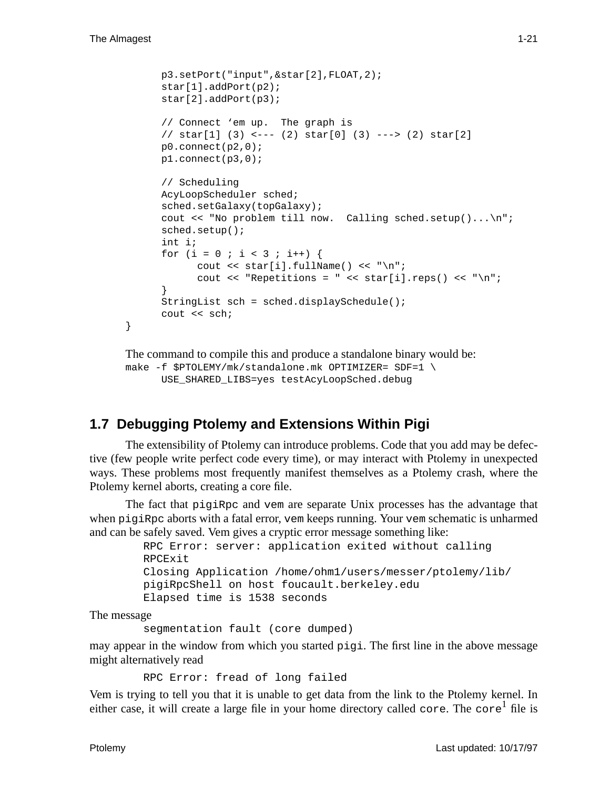}

```
p3.setPort("input",&star[2],FLOAT,2);
star[1].addPort(p2);
star[2].addPort(p3);
// Connect 'em up. The graph is
// star[1] (3) <--- (2) star[0] (3) ---> (2) star[2]
p0.connect(p2,0);
p1.connect(p3,0);
// Scheduling
AcyLoopScheduler sched;
sched.setGalaxy(topGalaxy);
cout << "No problem till now. Calling sched.setup()...\n";
sched.setup();
int i;
for (i = 0 ; i < 3 ; i++) {
     cout \langle star[i].fullName() \langle "\n";
      cout << "Repetitions = " << star[i].resp() << "\n";
}
StringList sch = sched.displaySchedule();
cout << sch;
```

```
The command to compile this and produce a standalone binary would be:
make -f $PTOLEMY/mk/standalone.mk OPTIMIZER= SDF=1 \
      USE SHARED LIBS=yes testAcyLoopSched.debug
```
# **1.7 Debugging Ptolemy and Extensions Within Pigi**

The extensibility of Ptolemy can introduce problems. Code that you add may be defective (few people write perfect code every time), or may interact with Ptolemy in unexpected ways. These problems most frequently manifest themselves as a Ptolemy crash, where the Ptolemy kernel aborts, creating a core file.

The fact that pigiRpc and vem are separate Unix processes has the advantage that when pigiRpc aborts with a fatal error, vem keeps running. Your vem schematic is unharmed and can be safely saved. Vem gives a cryptic error message something like:

```
RPC Error: server: application exited without calling
RPCExit
Closing Application /home/ohm1/users/messer/ptolemy/lib/
pigiRpcShell on host foucault.berkeley.edu
Elapsed time is 1538 seconds
```
The message

segmentation fault (core dumped)

may appear in the window from which you started pigi. The first line in the above message might alternatively read

RPC Error: fread of long failed

Vem is trying to tell you that it is unable to get data from the link to the Ptolemy kernel. In either case, it will create a large file in your home directory called core. The core<sup>1</sup> file is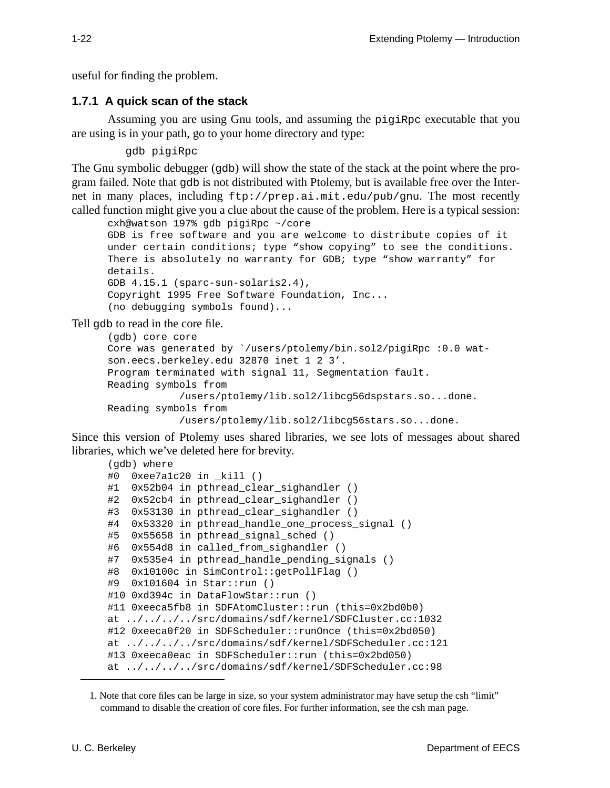useful for finding the problem.

#### **1.7.1 A quick scan of the stack**

Assuming you are using Gnu tools, and assuming the pigiRpc executable that you are using is in your path, go to your home directory and type:

gdb pigiRpc

The Gnu symbolic debugger (gdb) will show the state of the stack at the point where the program failed. Note that gdb is not distributed with Ptolemy, but is available free over the Internet in many places, including ftp://prep.ai.mit.edu/pub/gnu. The most recently called function might give you a clue about the cause of the problem. Here is a typical session:

```
cxh@watson 197% gdb pigiRpc ~/core
GDB is free software and you are welcome to distribute copies of it
under certain conditions; type "show copying" to see the conditions.
There is absolutely no warranty for GDB; type "show warranty" for
details.
GDB 4.15.1 (sparc-sun-solaris2.4),
Copyright 1995 Free Software Foundation, Inc...
(no debugging symbols found)...
```
Tell gdb to read in the core file.

```
(gdb) core core
Core was generated by `/users/ptolemy/bin.sol2/pigiRpc :0.0 wat-
son.eecs.berkeley.edu 32870 inet 1 2 3'.
Program terminated with signal 11, Segmentation fault.
Reading symbols from
            /users/ptolemy/lib.sol2/libcg56dspstars.so...done.
Reading symbols from
            /users/ptolemy/lib.sol2/libcg56stars.so...done.
```
Since this version of Ptolemy uses shared libraries, we see lots of messages about shared libraries, which we've deleted here for brevity.

```
(gdb) where
#0 0xee7a1c20 in kill ()
#1 0x52b04 in pthread_clear_sighandler ()
#2 0x52cb4 in pthread_clear_sighandler ()
#3 0x53130 in pthread clear sighandler ()
#4 0x53320 in pthread_handle_one_process_signal ()
#5 0x55658 in pthread_signal_sched ()
#6 0x554d8 in called_from_sighandler ()
#7 0x535e4 in pthread handle pending signals ()
#8 0x10100c in SimControl::getPollFlag ()
#9 0x101604 in Star::run ()
#10 0xd394c in DataFlowStar::run ()
#11 0xeeca5fb8 in SDFAtomCluster::run (this=0x2bd0b0)
at ../../../../src/domains/sdf/kernel/SDFCluster.cc:1032
#12 0xeeca0f20 in SDFScheduler::runOnce (this=0x2bd050)
at ../../../../src/domains/sdf/kernel/SDFScheduler.cc:121
#13 0xeeca0eac in SDFScheduler::run (this=0x2bd050)
at ../../../../src/domains/sdf/kernel/SDFScheduler.cc:98
```
<sup>1.</sup> Note that core files can be large in size, so your system administrator may have setup the csh "limit" command to disable the creation of core files. For further information, see the csh man page.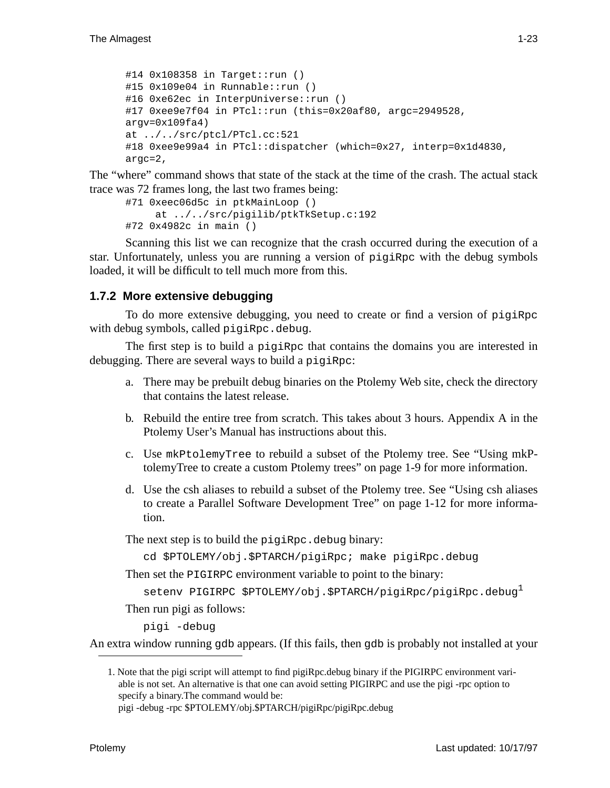```
#14 0x108358 in Target::run ()
#15 0x109e04 in Runnable::run ()
#16 0xe62ec in InterpUniverse::run ()
#17 0xee9e7f04 in PTcl::run (this=0x20af80, argc=2949528,
arqu=0x109fa4)at ../../src/ptcl/PTcl.cc:521
#18 0xee9e99a4 in PTcl::dispatcher (which=0x27, interp=0x1d4830,
argc=2,
```
The "where" command shows that state of the stack at the time of the crash. The actual stack trace was 72 frames long, the last two frames being:

```
#71 0xeec06d5c in ptkMainLoop ()
      at ../../src/pigilib/ptkTkSetup.c:192
#72 0x4982c in main ()
```
Scanning this list we can recognize that the crash occurred during the execution of a star. Unfortunately, unless you are running a version of pigiRpc with the debug symbols loaded, it will be difficult to tell much more from this.

## **1.7.2 More extensive debugging**

To do more extensive debugging, you need to create or find a version of pigiRpc with debug symbols, called pigiRpc.debug.

The first step is to build a pigiRpc that contains the domains you are interested in debugging. There are several ways to build a pigiRpc:

- a. There may be prebuilt debug binaries on the Ptolemy Web site, check the directory that contains the latest release.
- b. Rebuild the entire tree from scratch. This takes about 3 hours. Appendix A in the Ptolemy User's Manual has instructions about this.
- c. Use mkPtolemyTree to rebuild a subset of the Ptolemy tree. See "Using mkPtolemyTree to create a custom Ptolemy trees" on page 1-9 for more information.
- d. Use the csh aliases to rebuild a subset of the Ptolemy tree. See "Using csh aliases to create a Parallel Software Development Tree" on page 1-12 for more information.

The next step is to build the pigiRpc.debug binary:

cd \$PTOLEMY/obj.\$PTARCH/pigiRpc; make pigiRpc.debug

Then set the PIGIRPC environment variable to point to the binary:

setenv PIGIRPC \$PTOLEMY/obj.\$PTARCH/pigiRpc/pigiRpc.debug<sup>1</sup>

Then run pigi as follows:

pigi -debug

An extra window running gdb appears. (If this fails, then gdb is probably not installed at your

<sup>1.</sup> Note that the pigi script will attempt to find pigiRpc.debug binary if the PIGIRPC environment variable is not set. An alternative is that one can avoid setting PIGIRPC and use the pigi -rpc option to specify a binary.The command would be:

pigi -debug -rpc \$PTOLEMY/obj.\$PTARCH/pigiRpc/pigiRpc.debug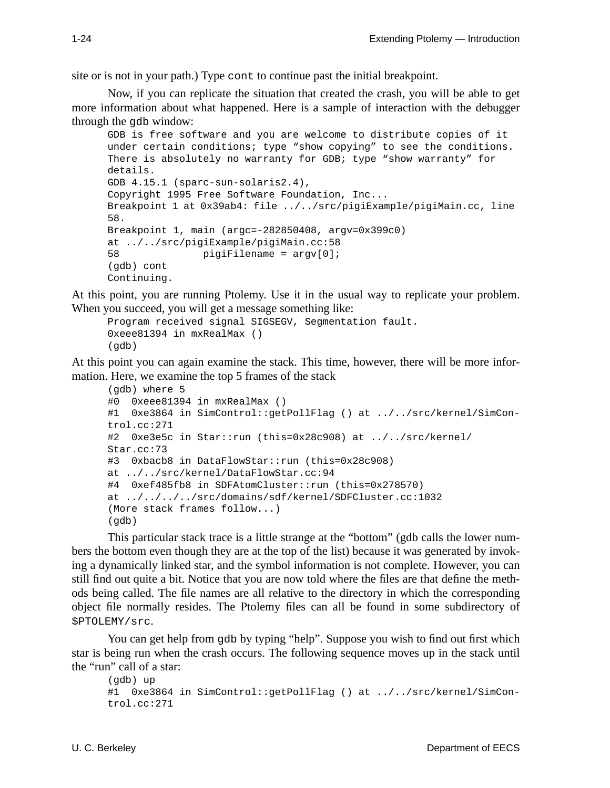site or is not in your path.) Type cont to continue past the initial breakpoint.

Now, if you can replicate the situation that created the crash, you will be able to get more information about what happened. Here is a sample of interaction with the debugger through the gdb window:

```
GDB is free software and you are welcome to distribute copies of it
under certain conditions; type "show copying" to see the conditions.
There is absolutely no warranty for GDB; type "show warranty" for
details.
GDB 4.15.1 (sparc-sun-solaris2.4),
Copyright 1995 Free Software Foundation, Inc...
Breakpoint 1 at 0x39ab4: file ../../src/pigiExample/pigiMain.cc, line
58.
Breakpoint 1, main (argc=-282850408, argv=0x399c0)
at ../../src/pigiExample/pigiMain.cc:58
58 pigiFilename = argv[0];
(gdb) cont
Continuing.
```
At this point, you are running Ptolemy. Use it in the usual way to replicate your problem. When you succeed, you will get a message something like:

```
Program received signal SIGSEGV, Segmentation fault.
0xeee81394 in mxRealMax ()
(gdb)
```
At this point you can again examine the stack. This time, however, there will be more information. Here, we examine the top 5 frames of the stack

```
(gdb) where 5
#0 0xeee81394 in mxRealMax ()
#1 0xe3864 in SimControl::getPollFlag () at ../../src/kernel/SimCon-
trol.cc:271
#2 0xe3e5c in Star::run (this=0x28c908) at ../../src/kernel/
Star.cc:73
#3 0xbacb8 in DataFlowStar::run (this=0x28c908)
at ../../src/kernel/DataFlowStar.cc:94
#4 0xef485fb8 in SDFAtomCluster::run (this=0x278570)
at ../../../../src/domains/sdf/kernel/SDFCluster.cc:1032
(More stack frames follow...)
(gdb)
```
This particular stack trace is a little strange at the "bottom" (gdb calls the lower numbers the bottom even though they are at the top of the list) because it was generated by invoking a dynamically linked star, and the symbol information is not complete. However, you can still find out quite a bit. Notice that you are now told where the files are that define the methods being called. The file names are all relative to the directory in which the corresponding object file normally resides. The Ptolemy files can all be found in some subdirectory of \$PTOLEMY/src.

You can get help from gdb by typing "help". Suppose you wish to find out first which star is being run when the crash occurs. The following sequence moves up in the stack until the "run" call of a star:

```
(gdb) up
#1 0xe3864 in SimControl::getPollFlag () at ../../src/kernel/SimCon-
trol.cc:271
```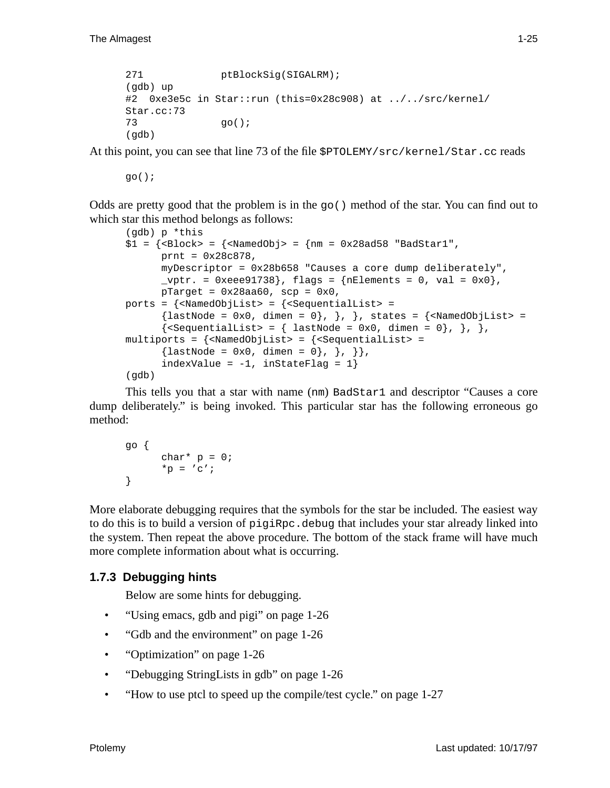```
271 ptBlockSig(SIGALRM);
(gdb) up
#2 0xe3e5c in Star::run (this=0x28c908) at ../../src/kernel/
Star.cc:73
73 go();
(gdb)
```
At this point, you can see that line 73 of the file \$PTOLEMY/src/kernel/Star.cc reads

 $q_0()$ ;

Odds are pretty good that the problem is in the  $g_0()$  method of the star. You can find out to which star this method belongs as follows:

```
(gdb) p *this
$1 = {\text{Slock}} > \text{S} = {\text{m} = 0x28a458} "BadStar1",
           prnt = 0x28c878,
           myDescriptor = 0x28b658 "Causes a core dump deliberately",
           _\text{vptr.} = 0xeee91738}, flags = {nElements = 0, val = 0x0},
           pTarget = 0x28aa60, scp = 0x0,
ports = \{\n<\n<sub>named</sub> + \n<sub>named</sub> - \n<sub>named</sub>\n\} \n<math>\n<sub>named</sub> + \n<sub>named</sub> - \n<sub>named</sub> - \n<sub>named</sub> - \n<sub>named</sub> - \n<sub>named</sub> - \n<sub>named</sub> - \n<sub>named</sub> - \n<sub>named</sub> - \n<sub>named</sub> - \n<sub>named</sub> - \n<sub>named</sub> - \n<sub>named</sub> - \n<sub>named</sub> - \n<sub>named</sub> - \n<sub\{lastNode = 0x0, dimen = 0\}, \}, \}, states = \{\langle NamedobjList \rangle = 0\}{|\texttt{<SequentialList>}} = {\texttt{lastNode = 0x0, dimen = 0}, \}, \},
multiports = \{\n<\n<math>\sum_{i=1}^{n} f(x_i, y_i) = \sum_{i=1}^{n} f(x_i, y_i) \}</math>\{lastNode = 0x0, dimen = 0\}, \}; \,
           indexValue = -1, inStateFlag = 1}
(qdb)
```
This tells you that a star with name (nm) BadStar1 and descriptor "Causes a core dump deliberately." is being invoked. This particular star has the following erroneous go method:

```
go {
      char* p = 0;
      *_{p} = 'c';}
```
More elaborate debugging requires that the symbols for the star be included. The easiest way to do this is to build a version of pigiRpc.debug that includes your star already linked into the system. Then repeat the above procedure. The bottom of the stack frame will have much more complete information about what is occurring.

## **1.7.3 Debugging hints**

Below are some hints for debugging.

- "Using emacs, gdb and pigi" on page 1-26
- "Gdb and the environment" on page 1-26
- "Optimization" on page 1-26
- "Debugging StringLists in gdb" on page 1-26
- "How to use ptcl to speed up the compile/test cycle." on page 1-27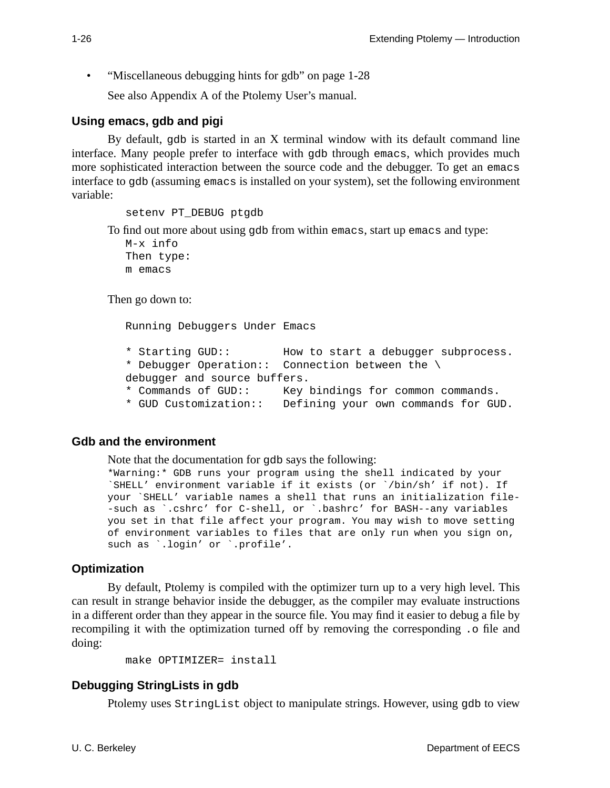• "Miscellaneous debugging hints for gdb" on page 1-28

See also Appendix A of the Ptolemy User's manual.

#### **Using emacs, gdb and pigi**

By default, gdb is started in an X terminal window with its default command line interface. Many people prefer to interface with gdb through emacs, which provides much more sophisticated interaction between the source code and the debugger. To get an emacs interface to gdb (assuming emacs is installed on your system), set the following environment variable:

setenv PT\_DEBUG ptgdb

To find out more about using gdb from within emacs, start up emacs and type:

```
M-x info
Then type:
m emacs
```
Then go down to:

Running Debuggers Under Emacs

- \* Starting GUD:: How to start a debugger subprocess.
- \* Debugger Operation:: Connection between the \
- debugger and source buffers.
- \* Commands of GUD:: Key bindings for common commands.
- \* GUD Customization:: Defining your own commands for GUD.

#### **Gdb and the environment**

Note that the documentation for gdb says the following:

```
*Warning:* GDB runs your program using the shell indicated by your
`SHELL' environment variable if it exists (or `/bin/sh' if not). If
your `SHELL' variable names a shell that runs an initialization file-
-such as `.cshrc' for C-shell, or `.bashrc' for BASH--any variables
you set in that file affect your program. You may wish to move setting
of environment variables to files that are only run when you sign on,
such as `.login' or `.profile'.
```
#### **Optimization**

By default, Ptolemy is compiled with the optimizer turn up to a very high level. This can result in strange behavior inside the debugger, as the compiler may evaluate instructions in a different order than they appear in the source file. You may find it easier to debug a file by recompiling it with the optimization turned off by removing the corresponding .o file and doing:

```
make OPTIMIZER= install
```
#### **Debugging StringLists in gdb**

Ptolemy uses StringList object to manipulate strings. However, using gdb to view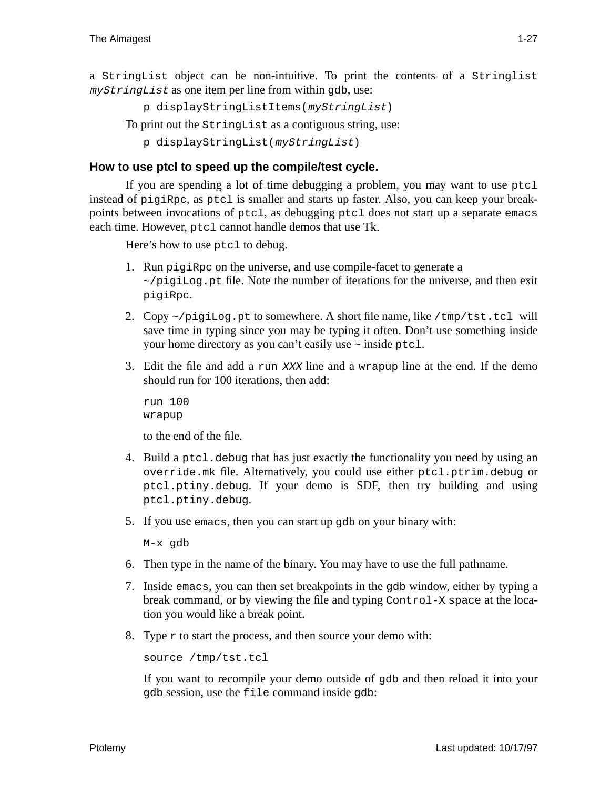a StringList object can be non-intuitive. To print the contents of a Stringlist myStringList as one item per line from within gdb, use:

```
p displayStringListItems(myStringList)
```
To print out the StringList as a contiguous string, use:

```
p displayStringList(myStringList)
```
## **How to use ptcl to speed up the compile/test cycle.**

If you are spending a lot of time debugging a problem, you may want to use ptcl instead of pigiRpc, as ptcl is smaller and starts up faster. Also, you can keep your breakpoints between invocations of ptcl, as debugging ptcl does not start up a separate emacs each time. However, ptcl cannot handle demos that use Tk.

Here's how to use ptcl to debug.

- 1. Run pigiRpc on the universe, and use compile-facet to generate a  $\sim$ /pigiLog.pt file. Note the number of iterations for the universe, and then exit pigiRpc.
- 2. Copy  $\sim$ /pigiLog.pt to somewhere. A short file name, like /tmp/tst.tcl will save time in typing since you may be typing it often. Don't use something inside your home directory as you can't easily use ~ inside ptcl.
- 3. Edit the file and add a run XXX line and a wrapup line at the end. If the demo should run for 100 iterations, then add:

run 100 wrapup

to the end of the file.

- 4. Build a ptcl.debug that has just exactly the functionality you need by using an override.mk file. Alternatively, you could use either ptcl.ptrim.debug or ptcl.ptiny.debug. If your demo is SDF, then try building and using ptcl.ptiny.debug.
- 5. If you use emacs, then you can start up gdb on your binary with:

M-x gdb

- 6. Then type in the name of the binary. You may have to use the full pathname.
- 7. Inside emacs, you can then set breakpoints in the gdb window, either by typing a break command, or by viewing the file and typing Control-X space at the location you would like a break point.
- 8. Type  $r$  to start the process, and then source your demo with:

```
source /tmp/tst.tcl
```
If you want to recompile your demo outside of gdb and then reload it into your gdb session, use the file command inside gdb: